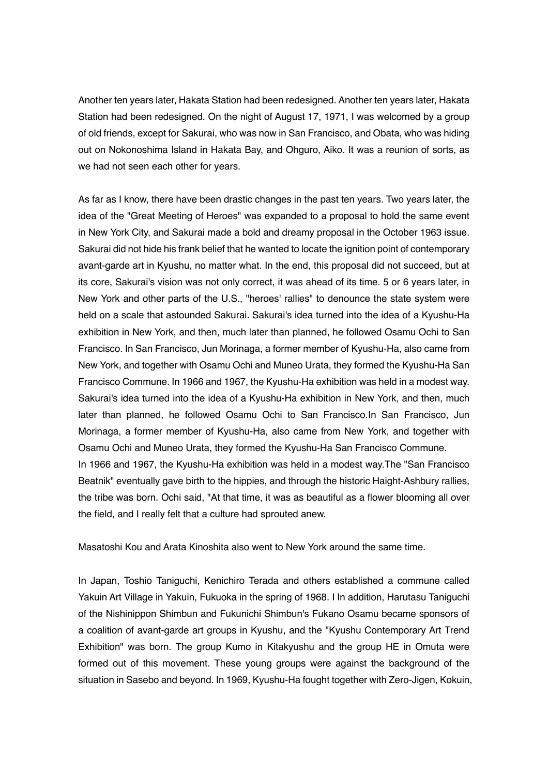Another ten years later, Hakata Station had been redesigned. Another ten years later, Hakata Station had been redesigned. On the night of August 17, 1971, I was welcomed by a group of old friends, except for Sakurai, who was now in San Francisco, and Obata, who was hiding out on Nokonoshima Island in Hakata Bay, and Ohguro, Aiko. It was a reunion of sorts, as we had not seen each other for years.

As far as I know, there have been drastic changes in the past ten years. Two years later, the idea of the "Great Meeting of Heroes" was expanded to a proposal to hold the same event in New York City, and Sakurai made a bold and dreamy proposal in the October 1963 issue. Sakurai did not hide his frank belief that he wanted to locate the ignition point of contemporary avant-garde art in Kyushu, no matter what. In the end, this proposal did not succeed, but at its core, Sakurai's vision was not only correct, it was ahead of its time. 5 or 6 years later, in New York and other parts of the U.S., "heroes' rallies" to denounce the state system were held on a scale that astounded Sakurai. Sakurai's idea turned into the idea of a Kyushu-Ha exhibition in New York, and then, much later than planned, he followed Osamu Ochi to San Francisco. In San Francisco, Jun Morinaga, a former member of Kyushu-Ha, also came from New York, and together with Osamu Ochi and Muneo Urata, they formed the Kyushu-Ha San Francisco Commune. In 1966 and 1967, the Kyushu-Ha exhibition was held in a modest way. Sakurai's idea turned into the idea of a Kyushu-Ha exhibition in New York, and then, much later than planned, he followed Osamu Ochi to San Francisco.In San Francisco, Jun Morinaga, a former member of Kyushu-Ha, also came from New York, and together with Osamu Ochi and Muneo Urata, they formed the Kyushu-Ha San Francisco Commune. In 1966 and 1967, the Kyushu-Ha exhibition was held in a modest way.The "San Francisco Beatnik" eventually gave birth to the hippies, and through the historic Haight-Ashbury rallies, the tribe was born. Ochi said, "At that time, it was as beautiful as a flower blooming all over the field, and I really felt that a culture had sprouted anew.

Masatoshi Kou and Arata Kinoshita also went to New York around the same time.

In Japan, Toshio Taniguchi, Kenichiro Terada and others established a commune called Yakuin Art Village in Yakuin, Fukuoka in the spring of 1968. I In addition, Harutasu Taniguchi of the Nishinippon Shimbun and Fukunichi Shimbun's Fukano Osamu became sponsors of a coalition of avant-garde art groups in Kyushu, and the "Kyushu Contemporary Art Trend Exhibition" was born. The group Kumo in Kitakyushu and the group HE in Omuta were formed out of this movement. These young groups were against the background of the situation in Sasebo and beyond. In 1969, Kyushu-Ha fought together with Zero-Jigen, Kokuin,